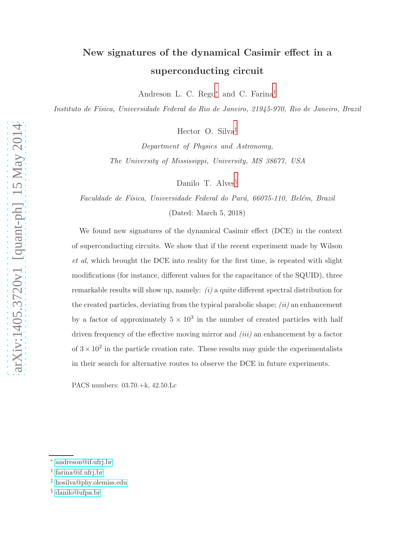## New signatures of the dynamical Casimir effect in a superconducting circuit

Andreson L. C. Rego[∗](#page-0-0) and C. Farina[†](#page-0-1)

Instituto de Física, Universidade Federal do Rio de Janeiro, 21945-970, Rio de Janeiro, Brazil

Hector O. Silva[‡](#page-0-2)

Department of Physics and Astronomy, The University of Mississippi, University, MS 38677, USA

Danilo T. Alves<sup>[§](#page-0-3)</sup>

Faculdade de Física, Universidade Federal do Pará, 66075-110, Belém, Brazil

(Dated: March 5, 2018)

We found new signatures of the dynamical Casimir effect (DCE) in the context of superconducting circuits. We show that if the recent experiment made by Wilson et al, which brought the DCE into reality for the first time, is repeated with slight modifications (for instance, different values for the capacitance of the SQUID), three remarkable results will show up, namely:  $(i)$  a quite different spectral distribution for the created particles, deviating from the typical parabolic shape;  $(ii)$  an enhancement by a factor of approximately  $5 \times 10^3$  in the number of created particles with half driven frequency of the effective moving mirror and  $(iii)$  an enhancement by a factor of  $3 \times 10^2$  in the particle creation rate. These results may guide the experimentalists in their search for alternative routes to observe the DCE in future experiments.

PACS numbers: 03.70.+k, 42.50.Lc

<span id="page-0-1"></span><span id="page-0-0"></span><sup>∗</sup> [andreson@if.ufrj.br](mailto:andreson@if.ufrj.br)

<span id="page-0-2"></span><sup>†</sup> [farina@if.ufrj.br](mailto:farina@if.ufrj.br)

<span id="page-0-3"></span><sup>‡</sup> [hosilva@phy.olemiss.edu](mailto:hosilva@phy.olemiss.edu)

<sup>§</sup> [danilo@ufpa.br](mailto:danilo@ufpa.br)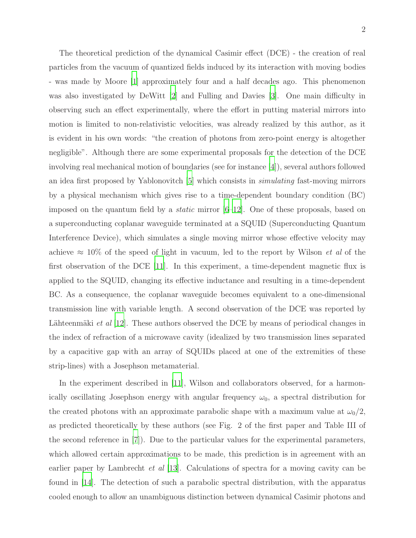The theoretical prediction of the dynamical Casimir effect (DCE) - the creation of real particles from the vacuum of quantized fields induced by its interaction with moving bodies - was made by Moore [\[1](#page-9-0)] approximately four and a half decades ago. This phenomenon was also investigated by DeWitt [\[2](#page-9-1)] and Fulling and Davies [\[3\]](#page-9-2). One main difficulty in observing such an effect experimentally, where the effort in putting material mirrors into motion is limited to non-relativistic velocities, was already realized by this author, as it is evident in his own words: "the creation of photons from zero-point energy is altogether negligible". Although there are some experimental proposals for the detection of the DCE involving real mechanical motion of boundaries (see for instance [\[4](#page-9-3)]), several authors followed an idea first proposed by Yablonovitch [\[5\]](#page-10-0) which consists in simulating fast-moving mirrors by a physical mechanism which gives rise to a time-dependent boundary condition (BC) imposed on the quantum field by a *static* mirror  $[6-12]$ . One of these proposals, based on a superconducting coplanar waveguide terminated at a SQUID (Superconducting Quantum Interference Device), which simulates a single moving mirror whose effective velocity may achieve  $\approx 10\%$  of the speed of light in vacuum, led to the report by Wilson *et al* of the first observation of the DCE [\[11\]](#page-10-3). In this experiment, a time-dependent magnetic flux is applied to the SQUID, changing its effective inductance and resulting in a time-dependent BC. As a consequence, the coplanar waveguide becomes equivalent to a one-dimensional transmission line with variable length. A second observation of the DCE was reported by Lähteenmäki et al  $|12|$ . These authors observed the DCE by means of periodical changes in the index of refraction of a microwave cavity (idealized by two transmission lines separated by a capacitive gap with an array of SQUIDs placed at one of the extremities of these strip-lines) with a Josephson metamaterial.

In the experiment described in [\[11](#page-10-3)], Wilson and collaborators observed, for a harmonically oscillating Josephson energy with angular frequency  $\omega_0$ , a spectral distribution for the created photons with an approximate parabolic shape with a maximum value at  $\omega_0/2$ , as predicted theoretically by these authors (see Fig. 2 of the first paper and Table III of the second reference in [\[7](#page-10-4)]). Due to the particular values for the experimental parameters, which allowed certain approximations to be made, this prediction is in agreement with an earlier paper by Lambrecht *et al* [\[13\]](#page-10-5). Calculations of spectra for a moving cavity can be found in [\[14\]](#page-10-6). The detection of such a parabolic spectral distribution, with the apparatus cooled enough to allow an unambiguous distinction between dynamical Casimir photons and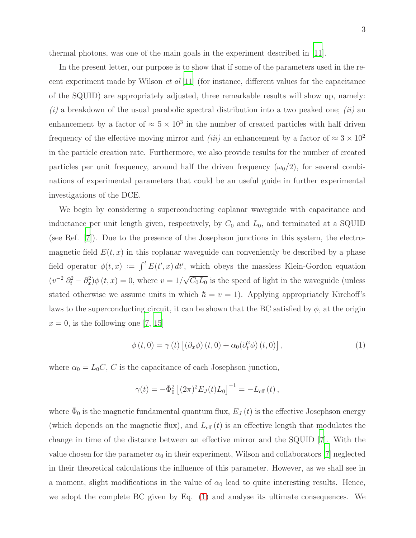thermal photons, was one of the main goals in the experiment described in [\[11](#page-10-3)].

In the present letter, our purpose is to show that if some of the parameters used in the recent experiment made by Wilson *et al*  $[11]$  (for instance, different values for the capacitance of the SQUID) are appropriately adjusted, three remarkable results will show up, namely:  $(i)$  a breakdown of the usual parabolic spectral distribution into a two peaked one; *(ii)* an enhancement by a factor of  $\approx 5 \times 10^3$  in the number of created particles with half driven frequency of the effective moving mirror and *(iii)* an enhancement by a factor of  $\approx 3 \times 10^2$ in the particle creation rate. Furthermore, we also provide results for the number of created particles per unit frequency, around half the driven frequency  $(\omega_0/2)$ , for several combinations of experimental parameters that could be an useful guide in further experimental investigations of the DCE.

We begin by considering a superconducting coplanar waveguide with capacitance and inductance per unit length given, respectively, by  $C_0$  and  $L_0$ , and terminated at a SQUID (see Ref. [\[7](#page-10-4)]). Due to the presence of the Josephson junctions in this system, the electromagnetic field  $E(t, x)$  in this coplanar waveguide can conveniently be described by a phase field operator  $\phi(t,x) := \int^t E(t',x) dt'$ , which obeys the massless Klein-Gordon equation  $(v^{-2}\partial_t^2 - \partial_x^2)\phi(t, x) = 0$ , where  $v = 1/\sqrt{C_0L_0}$  is the speed of light in the waveguide (unless stated otherwise we assume units in which  $\hbar = v = 1$ . Applying appropriately Kirchoff's laws to the superconducting circuit, it can be shown that the BC satisfied by  $\phi$ , at the origin  $x = 0$ , is the following one [\[7](#page-10-4), [15](#page-10-7)]

<span id="page-2-0"></span>
$$
\phi(t,0) = \gamma(t) \left[ \left( \partial_x \phi \right) (t,0) + \alpha_0 \left( \partial_t^2 \phi \right) (t,0) \right],\tag{1}
$$

where  $\alpha_0 = L_0 C$ , C is the capacitance of each Josephson junction,

$$
\gamma(t) = -\bar{\Phi}_0^2 \left[ (2\pi)^2 E_J(t) L_0 \right]^{-1} = -L_{\text{eff}}(t) ,
$$

where  $\bar{\Phi}_0$  is the magnetic fundamental quantum flux,  $E_J(t)$  is the effective Josephson energy (which depends on the magnetic flux), and  $L_{\text{eff}}(t)$  is an effective length that modulates the change in time of the distance between an effective mirror and the SQUID [\[7\]](#page-10-4). With the value chosen for the parameter  $\alpha_0$  in their experiment, Wilson and collaborators [\[7\]](#page-10-4) neglected in their theoretical calculations the influence of this parameter. However, as we shall see in a moment, slight modifications in the value of  $\alpha_0$  lead to quite interesting results. Hence, we adopt the complete BC given by Eq. [\(1\)](#page-2-0) and analyse its ultimate consequences. We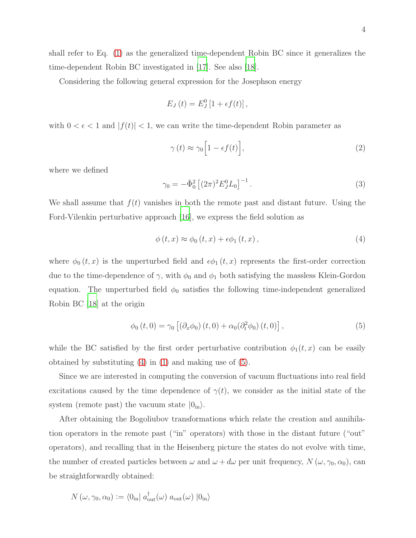Considering the following general expression for the Josephson energy

$$
E_J(t) = E_J^0[1 + \epsilon f(t)],
$$

with  $0 < \epsilon < 1$  and  $|f(t)| < 1$ , we can write the time-dependent Robin parameter as

$$
\gamma(t) \approx \gamma_0 \left[ 1 - \epsilon f(t) \right],\tag{2}
$$

where we defined

$$
\gamma_0 = -\bar{\Phi}_0^2 \left[ (2\pi)^2 E_J^0 L_0 \right]^{-1} . \tag{3}
$$

We shall assume that  $f(t)$  vanishes in both the remote past and distant future. Using the Ford-Vilenkin perturbative approach [\[16\]](#page-10-10), we express the field solution as

<span id="page-3-0"></span>
$$
\phi(t,x) \approx \phi_0(t,x) + \epsilon \phi_1(t,x), \qquad (4)
$$

where  $\phi_0(t, x)$  is the unperturbed field and  $\epsilon \phi_1(t, x)$  represents the first-order correction due to the time-dependence of  $\gamma$ , with  $\phi_0$  and  $\phi_1$  both satisfying the massless Klein-Gordon equation. The unperturbed field  $\phi_0$  satisfies the following time-independent generalized Robin BC [\[18](#page-10-9)] at the origin

<span id="page-3-1"></span>
$$
\phi_0(t,0) = \gamma_0 \left[ \left( \partial_x \phi_0 \right) (t,0) + \alpha_0 \left( \partial_t^2 \phi_0 \right) (t,0) \right],\tag{5}
$$

while the BC satisfied by the first order perturbative contribution  $\phi_1(t,x)$  can be easily obtained by substituting [\(4\)](#page-3-0) in [\(1\)](#page-2-0) and making use of [\(5\)](#page-3-1).

Since we are interested in computing the conversion of vacuum fluctuations into real field excitations caused by the time dependence of  $\gamma(t)$ , we consider as the initial state of the system (remote past) the vacuum state  $|0_{in}\rangle$ .

After obtaining the Bogoliubov transformations which relate the creation and annihilation operators in the remote past ("in" operators) with those in the distant future ("out" operators), and recalling that in the Heisenberg picture the states do not evolve with time, the number of created particles between  $\omega$  and  $\omega + d\omega$  per unit frequency,  $N(\omega, \gamma_0, \alpha_0)$ , can be straightforwardly obtained:

<span id="page-3-2"></span>
$$
N(\omega, \gamma_0, \alpha_0) := \langle 0_{\text{in}} | a_{\text{out}}^{\dagger}(\omega) a_{\text{out}}(\omega) | 0_{\text{in}} \rangle
$$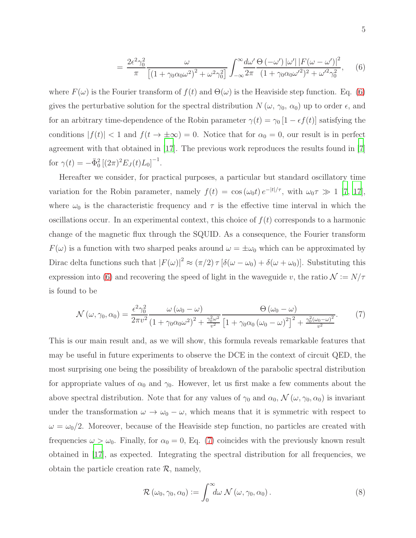$$
= \frac{2\epsilon^2\gamma_0^2}{\pi} \frac{\omega}{\left[ \left(1 + \gamma_0 \alpha_0 \omega^2 \right)^2 + \omega^2 \gamma_0^2 \right]} \int_{-\infty}^{\infty} \frac{d\omega'}{2\pi} \frac{\Theta\left(-\omega'\right) |\omega'| \left| F(\omega - \omega') \right|^2}{\left(1 + \gamma_0 \alpha_0 \omega'^2 \right)^2 + \omega'^2 \gamma_0^2}, \quad (6)
$$

where  $F(\omega)$  is the Fourier transform of  $f(t)$  and  $\Theta(\omega)$  is the Heaviside step function. Eq. [\(6\)](#page-3-2) gives the perturbative solution for the spectral distribution  $N(\omega, \gamma_0, \alpha_0)$  up to order  $\epsilon$ , and for an arbitrary time-dependence of the Robin parameter  $\gamma(t) = \gamma_0 [1 - \epsilon f(t)]$  satisfying the conditions  $|f(t)| < 1$  and  $f(t \to \pm \infty) = 0$ . Notice that for  $\alpha_0 = 0$ , our result is in perfect agreement with that obtained in [\[17](#page-10-8)]. The previous work reproduces the results found in [\[7\]](#page-10-4) for  $\gamma(t) = -\bar{\Phi}_0^2 \left[ (2\pi)^2 E_J(t) L_0 \right]^{-1}$ .

Hereafter we consider, for practical purposes, a particular but standard oscillatory time variation for the Robin parameter, namely  $f(t) = \cos(\omega_0 t) e^{-|t|/\tau}$ , with  $\omega_0 \tau \gg 1$  [\[7,](#page-10-4) [17\]](#page-10-8), where  $\omega_0$  is the characteristic frequency and  $\tau$  is the effective time interval in which the oscillations occur. In an experimental context, this choice of  $f(t)$  corresponds to a harmonic change of the magnetic flux through the SQUID. As a consequence, the Fourier transform  $F(\omega)$  is a function with two sharped peaks around  $\omega = \pm \omega_0$  which can be approximated by Dirac delta functions such that  $|F(\omega)|^2 \approx (\pi/2) \tau [\delta(\omega - \omega_0) + \delta(\omega + \omega_0)].$  Substituting this expression into [\(6\)](#page-3-2) and recovering the speed of light in the waveguide v, the ratio  $\mathcal{N} := N/\tau$ is found to be

<span id="page-4-0"></span>
$$
\mathcal{N}\left(\omega,\gamma_{0},\alpha_{0}\right) = \frac{\epsilon^{2}\gamma_{0}^{2}}{2\pi v^{2}} \frac{\omega\left(\omega_{0}-\omega\right)}{\left(1+\gamma_{0}\alpha_{0}\omega^{2}\right)^{2}+\frac{\gamma_{0}^{2}\omega^{2}}{v^{2}}}\frac{\Theta\left(\omega_{0}-\omega\right)}{\left[1+\gamma_{0}\alpha_{0}\left(\omega_{0}-\omega\right)^{2}\right]^{2}+\frac{\gamma_{0}^{2}\left(\omega_{0}-\omega\right)^{2}}{v^{2}}}.\tag{7}
$$

This is our main result and, as we will show, this formula reveals remarkable features that may be useful in future experiments to observe the DCE in the context of circuit QED, the most surprising one being the possibility of breakdown of the parabolic spectral distribution for appropriate values of  $\alpha_0$  and  $\gamma_0$ . However, let us first make a few comments about the above spectral distribution. Note that for any values of  $\gamma_0$  and  $\alpha_0$ ,  $\mathcal{N}(\omega, \gamma_0, \alpha_0)$  is invariant under the transformation  $\omega \to \omega_0 - \omega$ , which means that it is symmetric with respect to  $\omega = \omega_0/2$ . Moreover, because of the Heaviside step function, no particles are created with frequencies  $\omega > \omega_0$ . Finally, for  $\alpha_0 = 0$ , Eq. [\(7\)](#page-4-0) coincides with the previously known result obtained in [\[17](#page-10-8)], as expected. Integrating the spectral distribution for all frequencies, we obtain the particle creation rate  $\mathcal{R}$ , namely,

$$
\mathcal{R}(\omega_0, \gamma_0, \alpha_0) := \int_0^\infty d\omega \, \mathcal{N}(\omega, \gamma_0, \alpha_0).
$$
\n(8)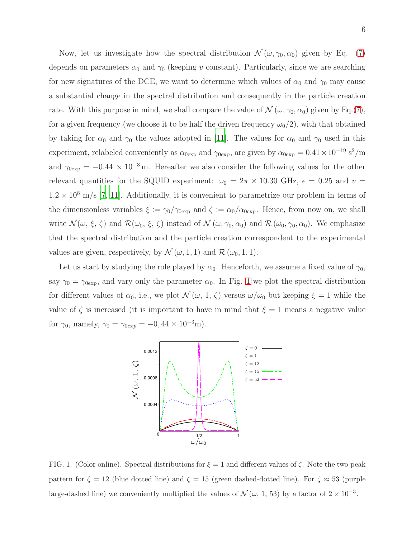Now, let us investigate how the spectral distribution  $\mathcal{N}(\omega, \gamma_0, \alpha_0)$  given by Eq. [\(7\)](#page-4-0) depends on parameters  $\alpha_0$  and  $\gamma_0$  (keeping v constant). Particularly, since we are searching for new signatures of the DCE, we want to determine which values of  $\alpha_0$  and  $\gamma_0$  may cause a substantial change in the spectral distribution and consequently in the particle creation rate. With this purpose in mind, we shall compare the value of  $\mathcal{N}(\omega, \gamma_0, \alpha_0)$  given by Eq.[\(7\)](#page-4-0), for a given frequency (we choose it to be half the driven frequency  $\omega_0/2$ ), with that obtained by taking for  $\alpha_0$  and  $\gamma_0$  the values adopted in [\[11](#page-10-3)]. The values for  $\alpha_0$  and  $\gamma_0$  used in this experiment, relabeled conveniently as  $\alpha_{0exp}$  and  $\gamma_{0exp}$ , are given by  $\alpha_{0exp} = 0.41 \times 10^{-19} \text{ s}^2/\text{m}$ and  $\gamma_{0exp} = -0.44 \times 10^{-3}$  m. Hereafter we also consider the following values for the other relevant quantities for the SQUID experiment:  $\omega_0 = 2\pi \times 10.30$  GHz,  $\epsilon = 0.25$  and  $v =$  $1.2 \times 10^8$  m/s [\[7](#page-10-4), [11](#page-10-3)]. Additionally, it is convenient to parametrize our problem in terms of the dimensionless variables  $\xi := \gamma_0/\gamma_{0exp}$  and  $\zeta := \alpha_0/\alpha_{0exp}$ . Hence, from now on, we shall write  $\mathcal{N}(\omega, \xi, \zeta)$  and  $\mathcal{R}(\omega_0, \xi, \zeta)$  instead of  $\mathcal{N}(\omega, \gamma_0, \alpha_0)$  and  $\mathcal{R}(\omega_0, \gamma_0, \alpha_0)$ . We emphasize that the spectral distribution and the particle creation correspondent to the experimental values are given, respectively, by  $\mathcal{N}(\omega, 1, 1)$  and  $\mathcal{R}(\omega_0, 1, 1)$ .

Let us start by studying the role played by  $\alpha_0$ . Henceforth, we assume a fixed value of  $\gamma_0$ , say  $\gamma_0 = \gamma_{0exp}$ , and vary only the parameter  $\alpha_0$ . In Fig. [1](#page-5-0) we plot the spectral distribution for different values of  $\alpha_0$ , i.e., we plot  $\mathcal{N}(\omega, 1, \zeta)$  versus  $\omega/\omega_0$  but keeping  $\xi = 1$  while the value of  $\zeta$  is increased (it is important to have in mind that  $\xi = 1$  means a negative value for  $\gamma_0$ , namely,  $\gamma_0 = \gamma_{0exp} = -0, 44 \times 10^{-3}$ m).



<span id="page-5-0"></span>FIG. 1. (Color online). Spectral distributions for  $\xi = 1$  and different values of  $\zeta$ . Note the two peak pattern for  $\zeta = 12$  (blue dotted line) and  $\zeta = 15$  (green dashed-dotted line). For  $\zeta \approx 53$  (purple large-dashed line) we conveniently multiplied the values of  $\mathcal{N}(\omega, 1, 53)$  by a factor of  $2 \times 10^{-3}$ .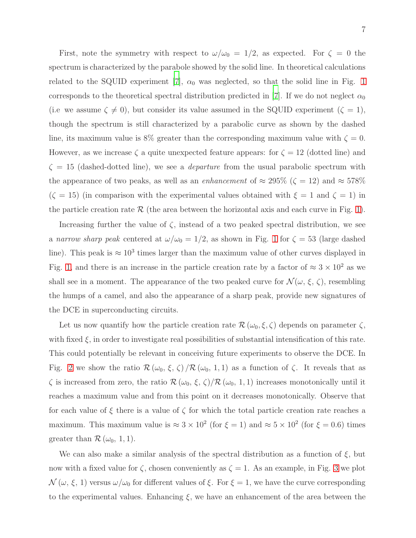First, note the symmetry with respect to  $\omega/\omega_0 = 1/2$ , as expected. For  $\zeta = 0$  the spectrum is characterized by the parabole showed by the solid line. In theoretical calculations related to the SQUID experiment [\[7](#page-10-4)],  $\alpha_0$  was neglected, so that the solid line in Fig. [1](#page-5-0) corresponds to the theoretical spectral distribution predicted in [\[7](#page-10-4)]. If we do not neglect  $\alpha_0$ (i.e we assume  $\zeta \neq 0$ ), but consider its value assumed in the SQUID experiment ( $\zeta = 1$ ), though the spectrum is still characterized by a parabolic curve as shown by the dashed line, its maximum value is 8% greater than the corresponding maximum value with  $\zeta = 0$ . However, as we increase  $\zeta$  a quite unexpected feature appears: for  $\zeta = 12$  (dotted line) and  $\zeta = 15$  (dashed-dotted line), we see a *departure* from the usual parabolic spectrum with the appearance of two peaks, as well as an *enhancement* of  $\approx 295\%$  ( $\zeta = 12$ ) and  $\approx 578\%$  $(\zeta = 15)$  (in comparison with the experimental values obtained with  $\xi = 1$  and  $\zeta = 1$ ) in the particle creation rate  $\mathcal R$  (the area between the horizontal axis and each curve in Fig. [1\)](#page-5-0).

Increasing further the value of  $\zeta$ , instead of a two peaked spectral distribution, we see a narrow sharp peak centered at  $\omega/\omega_0 = 1/2$  $\omega/\omega_0 = 1/2$  $\omega/\omega_0 = 1/2$ , as shown in Fig. 1 for  $\zeta = 53$  (large dashed line). This peak is  $\approx 10^3$  times larger than the maximum value of other curves displayed in Fig. [1,](#page-5-0) and there is an increase in the particle creation rate by a factor of  $\approx 3 \times 10^2$  as we shall see in a moment. The appearance of the two peaked curve for  $\mathcal{N}(\omega, \xi, \zeta)$ , resembling the humps of a camel, and also the appearance of a sharp peak, provide new signatures of the DCE in superconducting circuits.

Let us now quantify how the particle creation rate  $\mathcal{R}(\omega_0,\xi,\zeta)$  depends on parameter  $\zeta$ , with fixed  $\xi$ , in order to investigate real possibilities of substantial intensification of this rate. This could potentially be relevant in conceiving future experiments to observe the DCE. In Fig. [2](#page-7-0) we show the ratio  $\mathcal{R}(\omega_0, \xi, \zeta)/\mathcal{R}(\omega_0, 1, 1)$  as a function of  $\zeta$ . It reveals that as  $\zeta$  is increased from zero, the ratio  $\mathcal{R}(\omega_0, \xi, \zeta)/\mathcal{R}(\omega_0, 1, 1)$  increases monotonically until it reaches a maximum value and from this point on it decreases monotonically. Observe that for each value of  $\xi$  there is a value of  $\zeta$  for which the total particle creation rate reaches a maximum. This maximum value is  $\approx 3 \times 10^2$  (for  $\xi = 1$ ) and  $\approx 5 \times 10^2$  (for  $\xi = 0.6$ ) times greater than  $\mathcal{R}(\omega_0, 1, 1)$ .

We can also make a similar analysis of the spectral distribution as a function of  $\xi$ , but now with a fixed value for  $\zeta$ , chosen conveniently as  $\zeta = 1$ . As an example, in Fig. [3](#page-7-1) we plot  $\mathcal{N}(\omega,\xi,1)$  versus  $\omega/\omega_0$  for different values of  $\xi$ . For  $\xi=1$ , we have the curve corresponding to the experimental values. Enhancing  $\xi$ , we have an enhancement of the area between the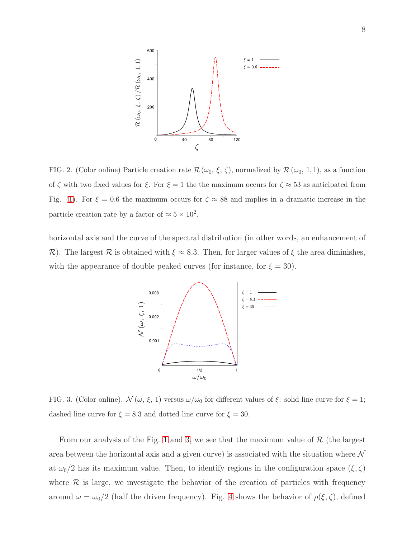

<span id="page-7-0"></span>FIG. 2. (Color online) Particle creation rate  $\mathcal{R}(\omega_0, \xi, \zeta)$ , normalized by  $\mathcal{R}(\omega_0, 1, 1)$ , as a function of  $\zeta$  with two fixed values for  $\xi$ . For  $\xi = 1$  the the maximum occurs for  $\zeta \approx 53$  as anticipated from Fig. [\(1\)](#page-5-0). For  $\xi = 0.6$  the maximum occurs for  $\zeta \approx 88$  and implies in a dramatic increase in the particle creation rate by a factor of  $\approx 5 \times 10^2$ .

horizontal axis and the curve of the spectral distribution (in other words, an enhancement of R). The largest R is obtained with  $\xi \approx 8.3$ . Then, for larger values of  $\xi$  the area diminishes, with the appearance of double peaked curves (for instance, for  $\xi = 30$ ).



<span id="page-7-1"></span>FIG. 3. (Color online).  $\mathcal{N}(\omega, \xi, 1)$  versus  $\omega/\omega_0$  for different values of  $\xi$ : solid line curve for  $\xi = 1$ ; dashed line curve for  $\xi = 8.3$  and dotted line curve for  $\xi = 30$ .

From our analysis of the Fig. [1](#page-5-0) and [3,](#page-7-1) we see that the maximum value of  $\mathcal R$  (the largest area between the horizontal axis and a given curve) is associated with the situation where  $\mathcal N$ at  $\omega_0/2$  has its maximum value. Then, to identify regions in the configuration space  $(\xi, \zeta)$ where  $\mathcal R$  is large, we investigate the behavior of the creation of particles with frequency around  $\omega = \omega_0/2$  (half the driven frequency). Fig. [4](#page-8-0) shows the behavior of  $\rho(\xi, \zeta)$ , defined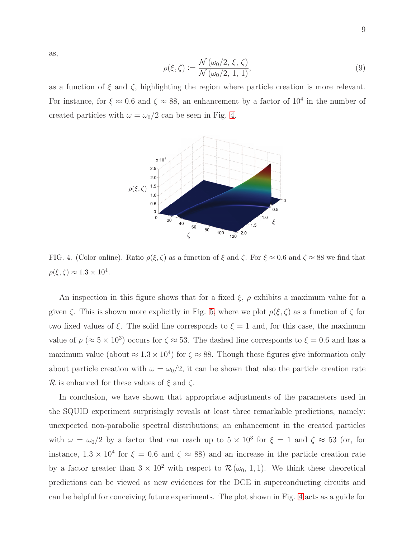$$
\rho(\xi,\zeta) := \frac{\mathcal{N}(\omega_0/2,\xi,\zeta)}{\mathcal{N}(\omega_0/2,1,1)},\tag{9}
$$

as a function of  $\xi$  and  $\zeta$ , highlighting the region where particle creation is more relevant. For instance, for  $\xi \approx 0.6$  and  $\zeta \approx 88$ , an enhancement by a factor of  $10^4$  in the number of created particles with  $\omega=\omega_0/2$  can be seen in Fig. [4.](#page-8-0)



<span id="page-8-0"></span>FIG. 4. (Color online). Ratio  $\rho(\xi, \zeta)$  as a function of  $\xi$  and  $\zeta$ . For  $\xi \approx 0.6$  and  $\zeta \approx 88$  we find that  $\rho(\xi, \zeta) \approx 1.3 \times 10^4.$ 

An inspection in this figure shows that for a fixed  $\xi$ ,  $\rho$  exhibits a maximum value for a given  $\zeta$ . This is shown more explicitly in Fig. [5,](#page-9-4) where we plot  $\rho(\xi, \zeta)$  as a function of  $\zeta$  for two fixed values of  $\xi$ . The solid line corresponds to  $\xi = 1$  and, for this case, the maximum value of  $\rho \approx 5 \times 10^3$ ) occurs for  $\zeta \approx 53$ . The dashed line corresponds to  $\xi = 0.6$  and has a maximum value (about  $\approx 1.3 \times 10^4$ ) for  $\zeta \approx 88$ . Though these figures give information only about particle creation with  $\omega = \omega_0/2$ , it can be shown that also the particle creation rate R is enhanced for these values of  $\xi$  and  $\zeta$ .

In conclusion, we have shown that appropriate adjustments of the parameters used in the SQUID experiment surprisingly reveals at least three remarkable predictions, namely: unexpected non-parabolic spectral distributions; an enhancement in the created particles with  $\omega = \omega_0/2$  by a factor that can reach up to  $5 \times 10^3$  for  $\xi = 1$  and  $\zeta \approx 53$  (or, for instance,  $1.3 \times 10^4$  for  $\xi = 0.6$  and  $\zeta \approx 88$ ) and an increase in the particle creation rate by a factor greater than  $3 \times 10^2$  with respect to  $\mathcal{R}(\omega_0, 1, 1)$ . We think these theoretical predictions can be viewed as new evidences for the DCE in superconducting circuits and can be helpful for conceiving future experiments. The plot shown in Fig. [4](#page-8-0) acts as a guide for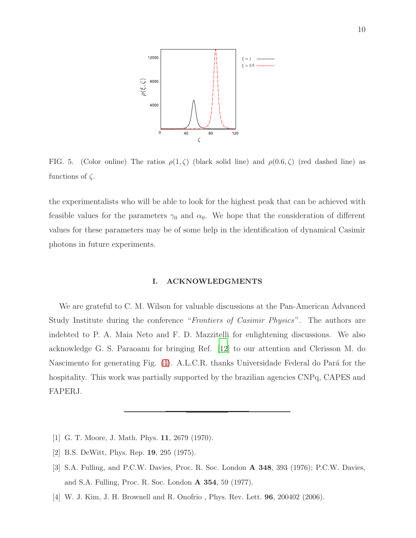

<span id="page-9-4"></span>FIG. 5. (Color online) The ratios  $\rho(1,\zeta)$  (black solid line) and  $\rho(0.6,\zeta)$  (red dashed line) as functions of  $\zeta$ .

the experimentalists who will be able to look for the highest peak that can be achieved with feasible values for the parameters  $\gamma_0$  and  $\alpha_0$ . We hope that the consideration of different values for these parameters may be of some help in the identification of dynamical Casimir photons in future experiments.

## I. ACKNOWLEDGMENTS

We are grateful to C. M. Wilson for valuable discussions at the Pan-American Advanced Study Institute during the conference "Frontiers of Casimir Physics". The authors are indebted to P. A. Maia Neto and F. D. Mazzitelli for enlightening discussions. We also acknowledge G. S. Paraoanu for bringing Ref. [\[12](#page-10-2)] to our attention and Clerisson M. do Nascimento for generating Fig. [\(4\)](#page-8-0). A.L.C.R. thanks Universidade Federal do Pará for the hospitality. This work was partially supported by the brazilian agencies CNPq, CAPES and FAPERJ.

- <span id="page-9-0"></span>[1] G. T. Moore, J. Math. Phys. 11, 2679 (1970).
- <span id="page-9-1"></span>[2] B.S. DeWitt, Phys. Rep. 19, 295 (1975).
- <span id="page-9-2"></span>[3] S.A. Fulling, and P.C.W. Davies, Proc. R. Soc. London A 348, 393 (1976); P.C.W. Davies, and S.A. Fulling, Proc. R. Soc. London A 354, 59 (1977).
- <span id="page-9-3"></span>[4] W. J. Kim, J. H. Brownell and R. Onofrio , Phys. Rev. Lett. 96, 200402 (2006).